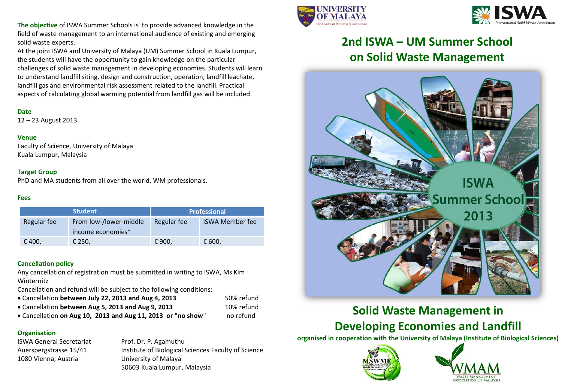**The objective** of ISWA Summer Schools is to provide advanced knowledge in the field of waste management to an international audience of existing and emerging solid waste experts.

At the joint ISWA and University of Malaya (UM) Summer School in Kuala Lumpur, the students will have the opportunity to gain knowledge on the particular challenges of solid waste management in developing economies. Students will learn to understand landfill siting, design and construction, operation, landfill leachate, landfill gas and environmental risk assessment related to the landfill. Practical aspects of calculating global warming potential from landfill gas will be included.

### **Date**

12 – 23 August 2013

### **Venue**

Faculty of Science, University of Malaya Kuala Lumpur, Malaysia

### **Target Group**

PhD and MA students from all over the world, WM professionals.

### **Fees**

| <b>Student</b> |                        | <b>Professional</b> |                        |  |
|----------------|------------------------|---------------------|------------------------|--|
| Regular fee    | From low-/lower-middle | Regular fee         | <b>ISWA Member fee</b> |  |
|                | income economies*      |                     |                        |  |
| € 400,-        | € 250,-                | € 900,-             | € 600,-                |  |

### **Cancellation policy**

Any cancellation of registration must be submitted in writing to ISWA, Ms Kim Winternitz

Cancellation and refund will be subject to the following conditions:

- Cancellation **between July 22, 2013 and Aug 4, 2013** 50% refund
- Cancellation **between Aug 5, 2013 and Aug 9, 2013** 10% refund
- Cancellation **on Aug 10, 2013 and Aug 11, 2013 or "no show**" no refund

## **Organisation**

ISWA General Secretariat Prof. Dr. P. Agamuthu 1080 Vienna, Austria University of Malaya

Auerspergstrasse 15/41 Institute of Biological Sciences Faculty of Science 50603 Kuala Lumpur, Malaysia





## **2nd ISWA – UM Summer School on Solid Waste Management**



## **Solid Waste Management in Developing Economies and Landfill**

**organised in cooperation with the University of Malaya (Institute of Biological Sciences)**



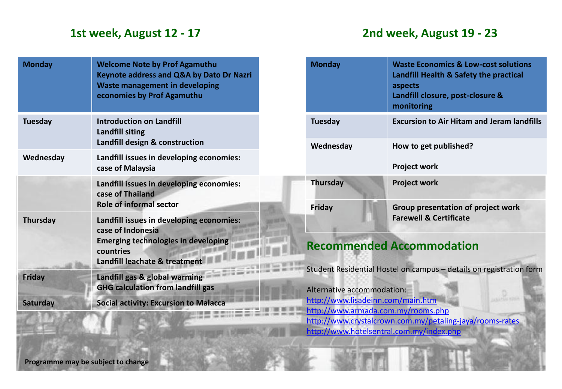## **1st week, August 12 - 17 2nd week, August 19 - 23**

| <b>Monday</b>   | <b>Welcome Note by Prof Agamuthu</b><br><b>Keynote address and Q&amp;A by Dato Dr Nazri</b><br><b>Waste management in developing</b><br>economies by Prof Agamuthu |
|-----------------|--------------------------------------------------------------------------------------------------------------------------------------------------------------------|
| <b>Tuesday</b>  | <b>Introduction on Landfill</b><br>Landfill siting<br>Landfill design & construction                                                                               |
| Wednesday       | Landfill issues in developing economies:<br>case of Malaysia                                                                                                       |
|                 | Landfill issues in developing economies:<br>case of Thailand<br><b>Role of informal sector</b>                                                                     |
| <b>Thursday</b> | Landfill issues in developing economies:<br>case of Indonesia<br><b>Emerging technologies in developing</b><br>countries<br>Landfill leachate & treatment          |
| <b>Friday</b>   | Landfill gas & global warming<br><b>GHG calculation from landfill gas</b>                                                                                          |
| <b>Saturday</b> | <b>Social activity: Excursion to Malacca</b>                                                                                                                       |

| <b>Monday</b>   | <b>Waste Economics &amp; Low-cost solutions</b><br>Landfill Health & Safety the practical<br>aspects<br>Landfill closure, post-closure &<br>monitoring |
|-----------------|--------------------------------------------------------------------------------------------------------------------------------------------------------|
| <b>Tuesday</b>  | <b>Excursion to Air Hitam and Jeram landfills</b>                                                                                                      |
| Wednesday       | How to get published?                                                                                                                                  |
|                 | <b>Project work</b>                                                                                                                                    |
| <b>Thursday</b> | <b>Project work</b>                                                                                                                                    |
| Friday          | Group presentation of project work<br><b>Farewell &amp; Certificate</b>                                                                                |
|                 |                                                                                                                                                        |

# **Recommended Accommodation**

Student Residential Hostel on campus – details on registration form

Alternative accommodation: http://www.lisadeinn.com/main.htm http://www.armada.com.my/rooms.php http://www.crystalcrown.com.my/petaling-jaya/rooms-rates http://www.hotelsentral.com.my/index.php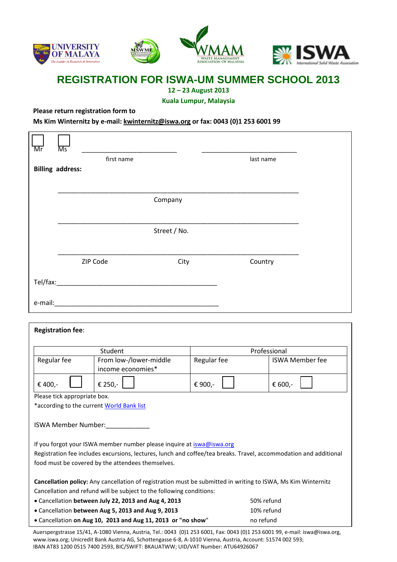

## **REGISTRATION FOR ISWA-UM SUMMER SCHOOL 2013**

**12 – 23 August 2013**

**Kuala Lumpur, Malaysia**

**Please return registration form to** 

**Ms Kim Winternitz by e-mail: kwinternitz@iswa.org or fax: 0043 (0)1 253 6001 99**

| Mr<br>Ms                                                                                                          |                                                                      |             |              |                        |  |
|-------------------------------------------------------------------------------------------------------------------|----------------------------------------------------------------------|-------------|--------------|------------------------|--|
| <b>Billing address:</b>                                                                                           | first name                                                           |             | last name    |                        |  |
|                                                                                                                   |                                                                      |             |              |                        |  |
|                                                                                                                   |                                                                      |             |              |                        |  |
|                                                                                                                   | Company                                                              |             |              |                        |  |
|                                                                                                                   |                                                                      |             |              |                        |  |
|                                                                                                                   | Street / No.                                                         |             |              |                        |  |
|                                                                                                                   |                                                                      |             |              |                        |  |
|                                                                                                                   | ZIP Code<br>City                                                     |             | Country      |                        |  |
| Tel/fax:                                                                                                          |                                                                      |             |              |                        |  |
|                                                                                                                   |                                                                      |             |              |                        |  |
|                                                                                                                   |                                                                      |             |              |                        |  |
|                                                                                                                   |                                                                      |             |              |                        |  |
| <b>Registration fee:</b>                                                                                          |                                                                      |             |              |                        |  |
|                                                                                                                   | Student                                                              |             | Professional |                        |  |
| Regular fee                                                                                                       | From low-/lower-middle                                               | Regular fee |              | <b>ISWA Member fee</b> |  |
|                                                                                                                   | income economies*                                                    |             |              |                        |  |
| € 400,-                                                                                                           | € 250,-                                                              | € 900,-     | € 600,-      |                        |  |
| Please tick appropriate box.                                                                                      |                                                                      |             |              |                        |  |
|                                                                                                                   | *according to the current <b>World Bank list</b>                     |             |              |                        |  |
| <b>ISWA Member Number:</b>                                                                                        |                                                                      |             |              |                        |  |
| If you forgot your ISWA member number please inquire at iswa@iswa.org                                             |                                                                      |             |              |                        |  |
| Registration fee includes excursions, lectures, lunch and coffee/tea breaks. Travel, accommodation and additional |                                                                      |             |              |                        |  |
| food must be covered by the attendees themselves.                                                                 |                                                                      |             |              |                        |  |
| Cancellation policy: Any cancellation of registration must be submitted in writing to ISWA, Ms Kim Winternitz     |                                                                      |             |              |                        |  |
|                                                                                                                   | Cancellation and refund will be subject to the following conditions: |             |              |                        |  |
|                                                                                                                   | . Cancellation between July 22, 2013 and Aug 4, 2013                 |             | 50% refund   |                        |  |
|                                                                                                                   | • Cancellation between Aug 5, 2013 and Aug 9, 2013                   |             | 10% refund   |                        |  |
|                                                                                                                   | . Cancellation on Aug 10, 2013 and Aug 11, 2013 or "no show"         |             | no refund    |                        |  |

Auerspergstrasse 15/41, A-1080 Vienna, Austria, Tel.: 0043 (0)1 253 6001, Fax: 0043 (0)1 253 6001 99, e-mail: iswa@iswa.org, www.iswa.org; Unicredit Bank Austria AG, Schottengasse 6-8, A-1010 Vienna, Austria, Account: 51574 002 593; IBAN AT83 1200 0515 7400 2593, BIC/SWIFT: BKAUATWW; UID/VAT Number: ATU64926067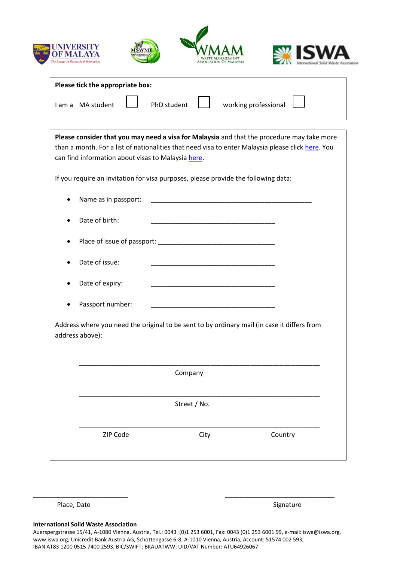







| Please tick the appropriate box: |  |                    |  |                             |  |
|----------------------------------|--|--------------------|--|-----------------------------|--|
| I am a MA student                |  | PhD student $\Box$ |  | working professional $\Box$ |  |

| Please consider that you may need a visa for Malaysia and that the procedure may take more<br>than a month. For a list of nationalities that need visa to enter Malaysia please click here. You<br>can find information about visas to Malaysia here. |                      |                                                                                                                        |         |  |
|-------------------------------------------------------------------------------------------------------------------------------------------------------------------------------------------------------------------------------------------------------|----------------------|------------------------------------------------------------------------------------------------------------------------|---------|--|
|                                                                                                                                                                                                                                                       |                      | If you require an invitation for visa purposes, please provide the following data:                                     |         |  |
|                                                                                                                                                                                                                                                       | Name as in passport: | <u> 1989 - Johann John Stone, markin film yn y brening yn y brening yn y brening yn y brening y brening yn y bre</u>   |         |  |
|                                                                                                                                                                                                                                                       | Date of birth:       | <u> 1989 - Johann John Stoff, deutscher Stoffen und der Stoffen und der Stoffen und der Stoffen und der Stoffen un</u> |         |  |
|                                                                                                                                                                                                                                                       |                      |                                                                                                                        |         |  |
|                                                                                                                                                                                                                                                       | Date of issue:       |                                                                                                                        |         |  |
|                                                                                                                                                                                                                                                       | Date of expiry:      |                                                                                                                        |         |  |
|                                                                                                                                                                                                                                                       | Passport number:     |                                                                                                                        |         |  |
|                                                                                                                                                                                                                                                       | address above):      | Address where you need the original to be sent to by ordinary mail (in case it differs from                            |         |  |
|                                                                                                                                                                                                                                                       |                      | Company                                                                                                                |         |  |
|                                                                                                                                                                                                                                                       |                      | Street / No.                                                                                                           |         |  |
|                                                                                                                                                                                                                                                       | ZIP Code             | City                                                                                                                   | Country |  |

Place, Date Signature Signature Signature Signature

## **International Solid Waste Association**

Auerspergstrasse 15/41, A-1080 Vienna, Austria, Tel.: 0043 (0)1 253 6001, Fax: 0043 (0)1 253 6001 99, e-mail: iswa@iswa.org, www.iswa.org; Unicredit Bank Austria AG, Schottengasse 6-8, A-1010 Vienna, Austria, Account: 51574 002 593; IBAN AT83 1200 0515 7400 2593, BIC/SWIFT: BKAUATWW; UID/VAT Number: ATU64926067

\_\_\_\_\_\_\_\_\_\_\_\_\_\_\_\_\_\_\_\_\_\_\_\_\_\_ \_\_\_\_\_\_\_\_\_\_\_\_\_\_\_\_\_\_\_\_\_\_\_\_\_\_\_\_\_\_